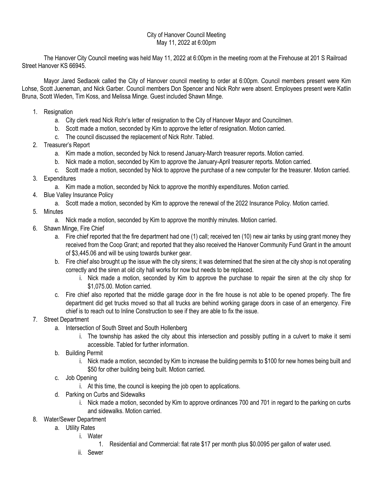### City of Hanover Council Meeting May 11, 2022 at 6:00pm

The Hanover City Council meeting was held May 11, 2022 at 6:00pm in the meeting room at the Firehouse at 201 S Railroad Street Hanover KS 66945.

Mayor Jared Sedlacek called the City of Hanover council meeting to order at 6:00pm. Council members present were Kim Lohse, Scott Jueneman, and Nick Garber. Council members Don Spencer and Nick Rohr were absent. Employees present were Katlin Bruna, Scott Wieden, Tim Koss, and Melissa Minge. Guest included Shawn Minge.

- 1. Resignation
	- a. City clerk read Nick Rohr's letter of resignation to the City of Hanover Mayor and Councilmen.
	- b. Scott made a motion, seconded by Kim to approve the letter of resignation. Motion carried.
	- c. The council discussed the replacement of Nick Rohr. Tabled.
- 2. Treasurer's Report
	- a. Kim made a motion, seconded by Nick to resend January-March treasurer reports. Motion carried.
	- b. Nick made a motion, seconded by Kim to approve the January-April treasurer reports. Motion carried.
	- c. Scott made a motion, seconded by Nick to approve the purchase of a new computer for the treasurer. Motion carried.
- 3. Expenditures
	- a. Kim made a motion, seconded by Nick to approve the monthly expenditures. Motion carried.
- 4. Blue Valley Insurance Policy
	- a. Scott made a motion, seconded by Kim to approve the renewal of the 2022 Insurance Policy. Motion carried.
- 5. Minutes
	- a. Nick made a motion, seconded by Kim to approve the monthly minutes. Motion carried.
- 6. Shawn Minge, Fire Chief
	- a. Fire chief reported that the fire department had one (1) call; received ten (10) new air tanks by using grant money they received from the Coop Grant; and reported that they also received the Hanover Community Fund Grant in the amount of \$3,445.06 and will be using towards bunker gear.
	- b. Fire chief also brought up the issue with the city sirens; it was determined that the siren at the city shop is not operating correctly and the siren at old city hall works for now but needs to be replaced.
		- i. Nick made a motion, seconded by Kim to approve the purchase to repair the siren at the city shop for \$1,075.00. Motion carried.
	- c. Fire chief also reported that the middle garage door in the fire house is not able to be opened properly. The fire department did get trucks moved so that all trucks are behind working garage doors in case of an emergency. Fire chief is to reach out to Inline Construction to see if they are able to fix the issue.
- 7. Street Department
	- a. Intersection of South Street and South Hollenberg
		- i. The township has asked the city about this intersection and possibly putting in a culvert to make it semi accessible. Tabled for further information.
	- b. Building Permit
		- i. Nick made a motion, seconded by Kim to increase the building permits to \$100 for new homes being built and \$50 for other building being built. Motion carried.
	- c. Job Opening
		- i. At this time, the council is keeping the job open to applications.
	- d. Parking on Curbs and Sidewalks
		- i. Nick made a motion, seconded by Kim to approve ordinances 700 and 701 in regard to the parking on curbs and sidewalks. Motion carried.
- 8. Water/Sewer Department
	- a. Utility Rates
		- i. Water
			- 1. Residential and Commercial: flat rate \$17 per month plus \$0.0095 per gallon of water used.
		- ii. Sewer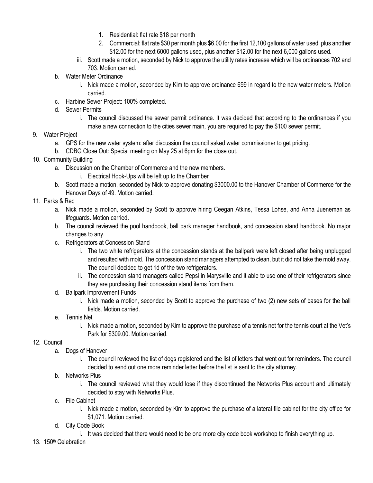- 1. Residential: flat rate \$18 per month
- 2. Commercial: flat rate \$30 per month plus \$6.00 for the first 12,100 gallons of water used, plus another \$12.00 for the next 6000 gallons used, plus another \$12.00 for the next 6,000 gallons used.
- iii. Scott made a motion, seconded by Nick to approve the utility rates increase which will be ordinances 702 and 703. Motion carried.
- b. Water Meter Ordinance
	- i. Nick made a motion, seconded by Kim to approve ordinance 699 in regard to the new water meters. Motion carried.
- c. Harbine Sewer Project: 100% completed.
- d. Sewer Permits
	- i. The council discussed the sewer permit ordinance. It was decided that according to the ordinances if you make a new connection to the cities sewer main, you are required to pay the \$100 sewer permit.

## 9. Water Project

- a. GPS for the new water system: after discussion the council asked water commissioner to get pricing.
- b. CDBG Close Out: Special meeting on May 25 at 6pm for the close out.
- 10. Community Building
	- a. Discussion on the Chamber of Commerce and the new members.
		- i. Electrical Hook-Ups will be left up to the Chamber
	- b. Scott made a motion, seconded by Nick to approve donating \$3000.00 to the Hanover Chamber of Commerce for the Hanover Days of 49. Motion carried.

## 11. Parks & Rec

- a. Nick made a motion, seconded by Scott to approve hiring Ceegan Atkins, Tessa Lohse, and Anna Jueneman as lifeguards. Motion carried.
- b. The council reviewed the pool handbook, ball park manager handbook, and concession stand handbook. No major changes to any.
- c. Refrigerators at Concession Stand
	- i. The two white refrigerators at the concession stands at the ballpark were left closed after being unplugged and resulted with mold. The concession stand managers attempted to clean, but it did not take the mold away. The council decided to get rid of the two refrigerators.
	- ii. The concession stand managers called Pepsi in Marysville and it able to use one of their refrigerators since they are purchasing their concession stand items from them.
- d. Ballpark Improvement Funds
	- i. Nick made a motion, seconded by Scott to approve the purchase of two (2) new sets of bases for the ball fields. Motion carried.
- e. Tennis Net
	- i. Nick made a motion, seconded by Kim to approve the purchase of a tennis net for the tennis court at the Vet's Park for \$309.00. Motion carried.

# 12. Council

- a. Dogs of Hanover
	- i. The council reviewed the list of dogs registered and the list of letters that went out for reminders. The council decided to send out one more reminder letter before the list is sent to the city attorney.

## b. Networks Plus

- i. The council reviewed what they would lose if they discontinued the Networks Plus account and ultimately decided to stay with Networks Plus.
- c. File Cabinet
	- i. Nick made a motion, seconded by Kim to approve the purchase of a lateral file cabinet for the city office for \$1,071. Motion carried.
- d. City Code Book
	- i. It was decided that there would need to be one more city code book workshop to finish everything up.
- 13. 150th Celebration